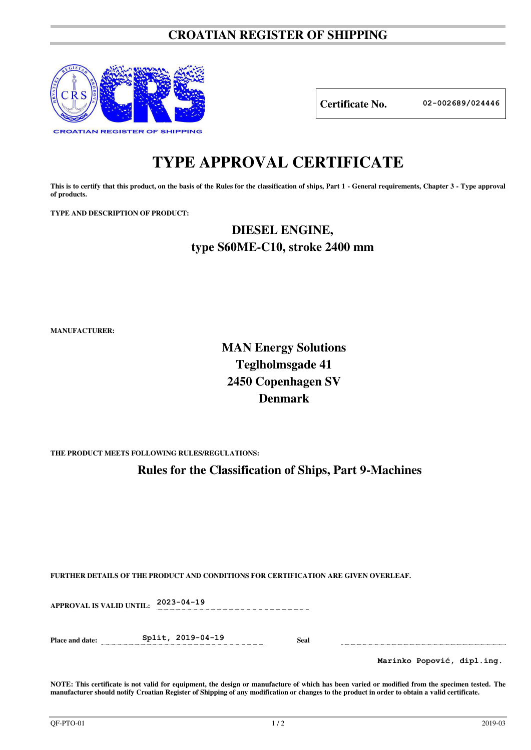### **CROATIAN REGISTER OF SHIPPING**



**Certificate No. 02-002689/024446**

# **TYPE APPROVAL CERTIFICATE**

This is to certify that this product, on the basis of the Rules for the classification of ships, Part 1 - General requirements, Chapter 3 - Type approval **of products.** 

**TYPE AND DESCRIPTION OF PRODUCT:** 

## **DIESEL ENGINE, type S60ME-C10, stroke 2400 mm**

**MANUFACTURER:**

## **MAN Energy Solutions Teglholmsgade 41 2450 Copenhagen SV Denmark**

**THE PRODUCT MEETS FOLLOWING RULES/REGULATIONS:**

**Rules for the Classification of Ships, Part 9-Machines**

**FURTHER DETAILS OF THE PRODUCT AND CONDITIONS FOR CERTIFICATION ARE GIVEN OVERLEAF.**

**APPROVAL IS VALID UNTIL: 2023-04-19 Place and date: Split, 2019-04-19 Seal Marinko Popović, dipl.ing.**

**NOTE: This certificate is not valid for equipment, the design or manufacture of which has been varied or modified from the specimen tested. The manufacturer should notify Croatian Register of Shipping of any modification or changes to the product in order to obtain a valid certificate.**